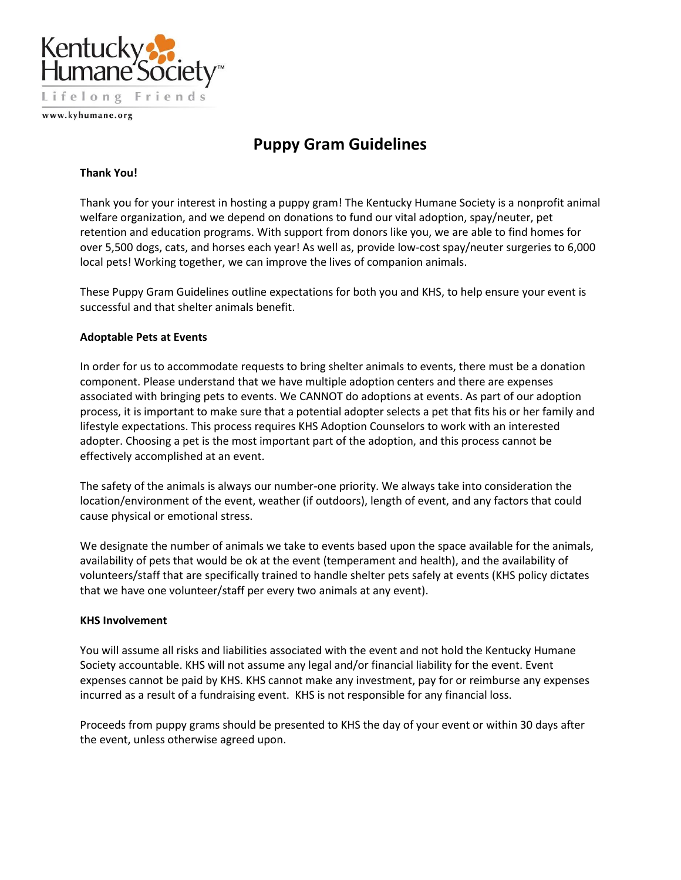

www.kyhumane.org

# **Puppy Gram Guidelines**

#### **Thank You!**

Thank you for your interest in hosting a puppy gram! The Kentucky Humane Society is a nonprofit animal welfare organization, and we depend on donations to fund our vital adoption, spay/neuter, pet retention and education programs. With support from donors like you, we are able to find homes for over 5,500 dogs, cats, and horses each year! As well as, provide low-cost spay/neuter surgeries to 6,000 local pets! Working together, we can improve the lives of companion animals.

These Puppy Gram Guidelines outline expectations for both you and KHS, to help ensure your event is successful and that shelter animals benefit.

## **Adoptable Pets at Events**

In order for us to accommodate requests to bring shelter animals to events, there must be a donation component. Please understand that we have multiple adoption centers and there are expenses associated with bringing pets to events. We CANNOT do adoptions at events. As part of our adoption process, it is important to make sure that a potential adopter selects a pet that fits his or her family and lifestyle expectations. This process requires KHS Adoption Counselors to work with an interested adopter. Choosing a pet is the most important part of the adoption, and this process cannot be effectively accomplished at an event.

The safety of the animals is always our number-one priority. We always take into consideration the location/environment of the event, weather (if outdoors), length of event, and any factors that could cause physical or emotional stress.

We designate the number of animals we take to events based upon the space available for the animals, availability of pets that would be ok at the event (temperament and health), and the availability of volunteers/staff that are specifically trained to handle shelter pets safely at events (KHS policy dictates that we have one volunteer/staff per every two animals at any event).

## **KHS Involvement**

You will assume all risks and liabilities associated with the event and not hold the Kentucky Humane Society accountable. KHS will not assume any legal and/or financial liability for the event. Event expenses cannot be paid by KHS. KHS cannot make any investment, pay for or reimburse any expenses incurred as a result of a fundraising event. KHS is not responsible for any financial loss.

Proceeds from puppy grams should be presented to KHS the day of your event or within 30 days after the event, unless otherwise agreed upon.